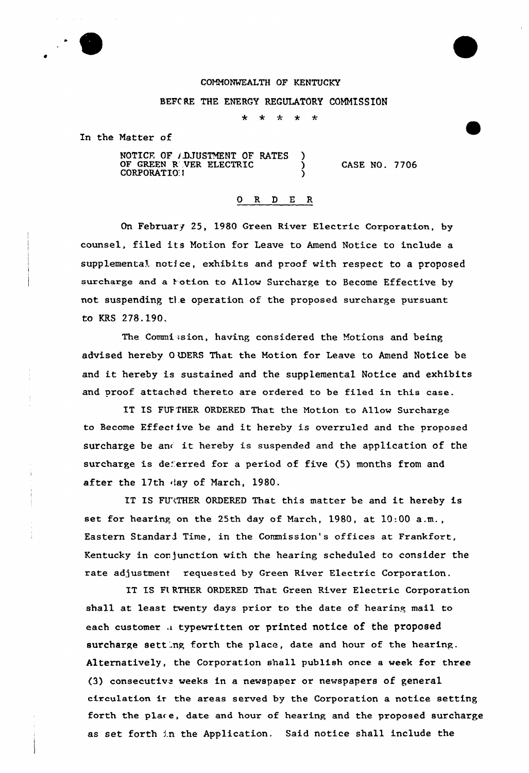

## COMMONWEALTH OF KENTUCKY

## BEFCRE THE ENERGY REGULATORY COMMISSION

 $\star$ \* \* \*  $\star$ 

In the Matter of

NOTICE OF *I*DJUSTMENT OF RATES ) OF GREEN R'.VER ELECTRIC ( CORPORATION

CASE NO. 7706

## 0 R <sup>D</sup> E R

On February 25, 1980 Green River Electric Corporation, by counsel, filed its Motion for Leave to Amend Notice to include a supplemental notice, exhibits and proof with respect to a proposed surcharge and a Fotion to Allow Surcharge to Become Effective by not suspending t}e operation of the proposed surcharge pursuant to KRS 278.190.

The Commi:sion, having considered the Motions and being advised hereby 0 WDERS That the Motion for Leave to Amend Notice be and it hereby is sustained and the supplementa1 Notice and exhibits and proof attached thereto are ordered to be filed in this case.

IT IS FUFTHER ORDERED That the Motion to Allow Surcharge to Become Effective be and it hereby is overruled and the proposed surcharge be and it hereby is suspended and the application of the surcharge is deferred for a period of five (5) months from and after the 17th day of March, 1980.

IT IS FURTHER ORDERED That this matter be and it hereby is set for hearing on the 25th day of March, 1980, at 10:00 a.m., Eastern Standard Time, in the Coramission's offices at Frankfort, Kentucky in conjunction with the hearing scheduled to consider the rate adjustment requested by Green River Electric Corporation.

IT IS Ft RTHER ORDERED That Green River Electric Corporation shall at least twenty days prior to the date of hearing mail to each customer a typewritten or printed notice of the proposed surcharge setting forth the place, date and hour of the hearing. Alternatively, the Corporation shall publish once a week for three  $(3)$  consecutive weeks in a newspaper or newspapers of general circulation ir the areas served by the Corporation a notice setting forth the place, date and hour of hearing and the proposed surcharge as set forth in the Application. Said notice shall include the